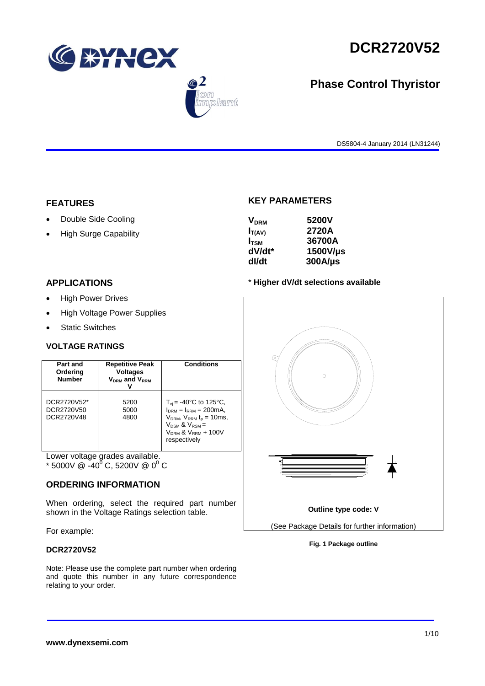

 $\bigcirc$  2

lant



# **Phase Control Thyristor**

DS5804-4 January 2014 (LN31244)

### **FEATURES**

- Double Side Cooling
- High Surge Capability

# **KEY PARAMETERS**

| <b>V<sub>DRM</sub></b> | 5200V        |
|------------------------|--------------|
| $I_{T(AV)}$            | 2720A        |
| $I_{TSM}$              | 36700A       |
| dV/dt*                 | 1500V/µs     |
| dl/dt                  | $300A/\mu s$ |

# **APPLICATIONS**

- High Power Drives
- High Voltage Power Supplies
- Static Switches

## **VOLTAGE RATINGS**

| Part and<br>Ordering<br><b>Number</b>   | <b>Repetitive Peak</b><br><b>Voltages</b><br>$V_{DRM}$ and $V_{RRM}$ | <b>Conditions</b>                                                                                                                                                                           |
|-----------------------------------------|----------------------------------------------------------------------|---------------------------------------------------------------------------------------------------------------------------------------------------------------------------------------------|
| DCR2720V52*<br>DCR2720V50<br>DCR2720V48 | 5200<br>5000<br>4800                                                 | $T_{\rm vi}$ = -40°C to 125°C,<br>$I_{DRM} = I_{RRM} = 200 \text{mA}$ ,<br>$V_{DRM}$ , $V_{RRM}$ $t_{p}$ = 10ms,<br>$V_{DSM}$ & $V_{RSM}$ =<br>$V_{DRM}$ & $V_{RRM}$ + 100V<br>respectively |

Lower voltage grades available. \* 5000V @  $-40^{0}$  C, 5200V @ 0<sup>0</sup> C

## **ORDERING INFORMATION**

When ordering, select the required part number shown in the Voltage Ratings selection table.

For example:

# **DCR2720V52**

Note: Please use the complete part number when ordering and quote this number in any future correspondence relating to your order.





**Fig. 1 Package outline**



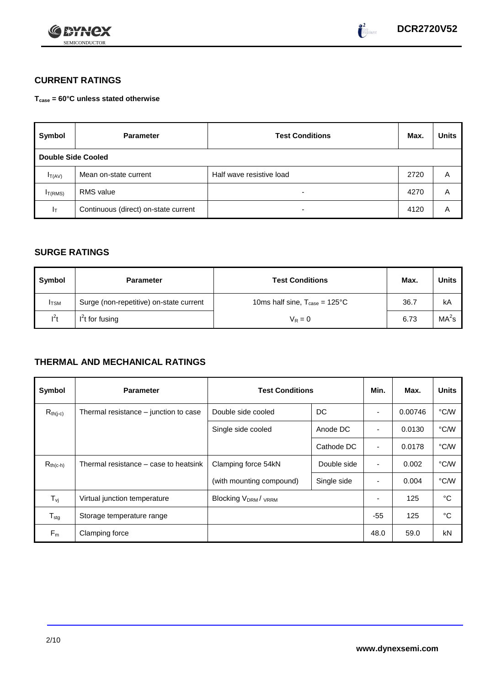



# **CURRENT RATINGS**

**Tcase = 60°C unless stated otherwise**

| Symbol                    | <b>Parameter</b>                     | <b>Test Conditions</b>   | Max. | <b>Units</b> |
|---------------------------|--------------------------------------|--------------------------|------|--------------|
| <b>Double Side Cooled</b> |                                      |                          |      |              |
| $I_T(AV)$                 | Mean on-state current                | Half wave resistive load | 2720 | Α            |
| I <sub>T(RMS)</sub>       | <b>RMS</b> value                     | $\overline{\phantom{0}}$ | 4270 | A            |
| $I_T$                     | Continuous (direct) on-state current | $\overline{\phantom{0}}$ | 4120 | Α            |

# **SURGE RATINGS**

| Symbol       | <b>Parameter</b>                        | <b>Test Conditions</b>                           | Max. | <b>Units</b>      |
|--------------|-----------------------------------------|--------------------------------------------------|------|-------------------|
| <b>I</b> TSM | Surge (non-repetitive) on-state current | 10ms half sine, $T_{\text{case}} = 125^{\circ}C$ | 36.7 | kA                |
| $l^2t$       | $I2t$ for fusing                        | $V_R = 0$                                        | 6.73 | MA <sup>2</sup> s |

# **THERMAL AND MECHANICAL RATINGS**

| Symbol           | <b>Parameter</b>                      | <b>Test Conditions</b>    | Min.        | Max.                     | <b>Units</b> |      |
|------------------|---------------------------------------|---------------------------|-------------|--------------------------|--------------|------|
| $R_{th(j-c)}$    | Thermal resistance – junction to case | Double side cooled        | DC          |                          | 0.00746      | °C/W |
|                  |                                       | Single side cooled        | Anode DC    |                          | 0.0130       | °C/W |
|                  |                                       |                           | Cathode DC  | $\overline{\phantom{a}}$ | 0.0178       | °C/W |
| $R_{th(c-h)}$    | Thermal resistance – case to heatsink | Clamping force 54kN       | Double side | $\blacksquare$           | 0.002        | °C/W |
|                  |                                       | (with mounting compound)  | Single side |                          | 0.004        | °C/W |
| $T_{\rm vj}$     | Virtual junction temperature          | <b>Blocking VDRM/VRRM</b> |             |                          | 125          | °C   |
| $T_{\text{stg}}$ | Storage temperature range             |                           |             | $-55$                    | 125          | °C   |
| $F_m$            | Clamping force                        |                           |             | 48.0                     | 59.0         | kN   |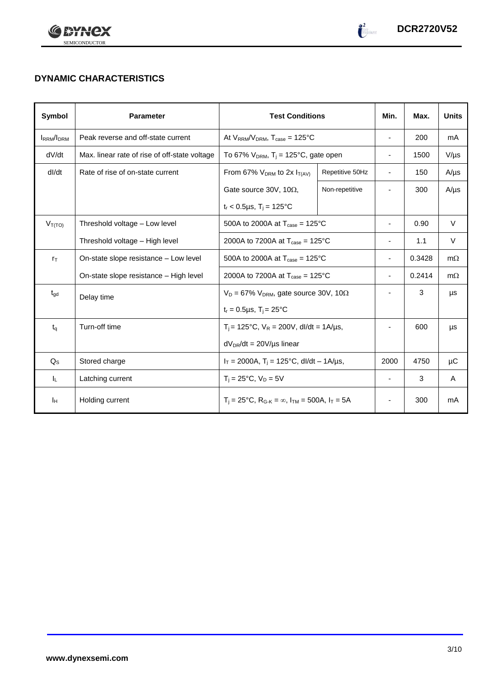



# **DYNAMIC CHARACTERISTICS**

| Symbol            | <b>Parameter</b>                              | <b>Test Conditions</b>                                                  |                 | Min.                         | Max.   | <b>Units</b> |
|-------------------|-----------------------------------------------|-------------------------------------------------------------------------|-----------------|------------------------------|--------|--------------|
| <b>IRRM</b> /IDRM | Peak reverse and off-state current            | At $V_{RRM}/V_{DRM}$ , $T_{case} = 125^{\circ}C$                        |                 | $\overline{\phantom{a}}$     | 200    | mA           |
| dV/dt             | Max. linear rate of rise of off-state voltage | To 67% $V_{DRM}$ , T <sub>i</sub> = 125°C, gate open                    |                 | $\qquad \qquad \blacksquare$ | 1500   | $V/\mu s$    |
| dl/dt             | Rate of rise of on-state current              | From 67% $V_{DRM}$ to 2x $I_{T(AV)}$                                    | Repetitive 50Hz | $\blacksquare$               | 150    | $A/\mu s$    |
|                   |                                               | Gate source 30V, 10 $\Omega$ ,                                          | Non-repetitive  |                              | 300    | $A/\mu s$    |
|                   |                                               | $t_r$ < 0.5µs, T <sub>i</sub> = 125°C                                   |                 |                              |        |              |
| $V_{T(TO)}$       | Threshold voltage - Low level                 | 500A to 2000A at $T_{\text{case}} = 125^{\circ}$ C                      |                 |                              | 0.90   | V            |
|                   | Threshold voltage - High level                | 2000A to 7200A at $T_{\text{case}} = 125^{\circ}$ C                     |                 | $\overline{\phantom{a}}$     | 1.1    | V            |
| $r_{\text{T}}$    | On-state slope resistance – Low level         | 500A to 2000A at $T_{\text{case}} = 125^{\circ}C$                       |                 | $\overline{\phantom{a}}$     | 0.3428 | $m\Omega$    |
|                   | On-state slope resistance - High level        | 2000A to 7200A at $T_{\text{case}} = 125^{\circ}$ C                     |                 | $\overline{\phantom{a}}$     | 0.2414 | $m\Omega$    |
| $t_{\text{gd}}$   | Delay time                                    | $V_D = 67\%$ V <sub>DRM</sub> , gate source 30V, 10 $\Omega$            |                 |                              | 3      | μs           |
|                   |                                               | $t_r = 0.5 \mu s$ , $T_i = 25^{\circ}C$                                 |                 |                              |        |              |
| $t_{\alpha}$      | Turn-off time                                 | $T_i$ = 125°C, $V_R$ = 200V, dl/dt = 1A/µs,                             |                 |                              | 600    | μs           |
|                   |                                               | $dV_{DR}/dt = 20V/\mu s$ linear                                         |                 |                              |        |              |
| $Q_{\rm S}$       | Stored charge                                 | $I_T = 2000A$ , $T_i = 125^{\circ}C$ , dl/dt – 1A/us,                   |                 | 2000                         | 4750   | μC           |
| IL.               | Latching current                              | $T_i = 25^{\circ}C$ , $V_D = 5V$                                        |                 | $\overline{\phantom{a}}$     | 3      | A            |
| Iн                | Holding current                               | $T_i = 25^{\circ}C$ , $R_{G-K} = \infty$ , $I_{TM} = 500A$ , $I_T = 5A$ |                 | $\overline{\phantom{a}}$     | 300    | mA           |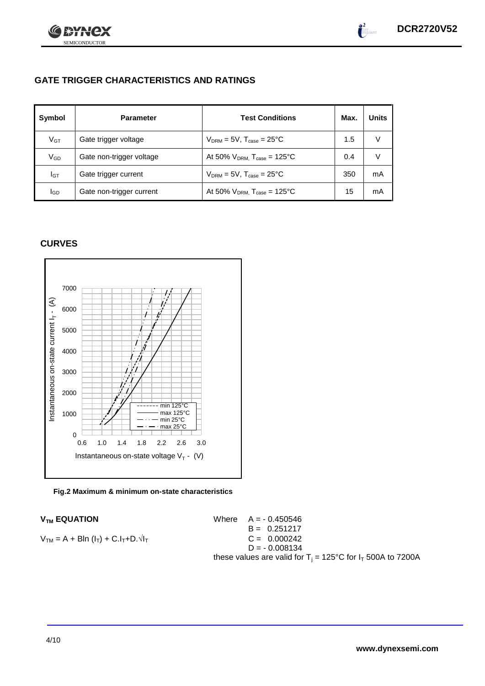

# **GATE TRIGGER CHARACTERISTICS AND RATINGS**

| Symbol          | <b>Test Conditions</b><br><b>Parameter</b> |                                              | Max. | Units |
|-----------------|--------------------------------------------|----------------------------------------------|------|-------|
| V <sub>GT</sub> | Gate trigger voltage                       | $V_{DRM}$ = 5V, $T_{case}$ = 25°C            | 1.5  |       |
| V <sub>GD</sub> | Gate non-trigger voltage                   | At 50% $V_{DRM}$ , $T_{case} = 125^{\circ}C$ | 0.4  |       |
| Iст             | Gate trigger current                       | $V_{DRM} = 5V$ , $T_{case} = 25^{\circ}C$    | 350  | mA    |
| lgp             | Gate non-trigger current                   | At 50% $V_{DRM}$ , $T_{case}$ = 125°C        | 15   | mA    |

# **CURVES**





 $V_{TM}$  **EQUATION** Where  $A = -0.450546$  $B = 0.251217$  $V_{TM} = A + Bln (I_T) + C.I_T + D.\sqrt{I_T}$  C = 0.000242  $D = -0.008134$ these values are valid for  $T_i = 125^{\circ}C$  for  $I_T$  500A to 7200A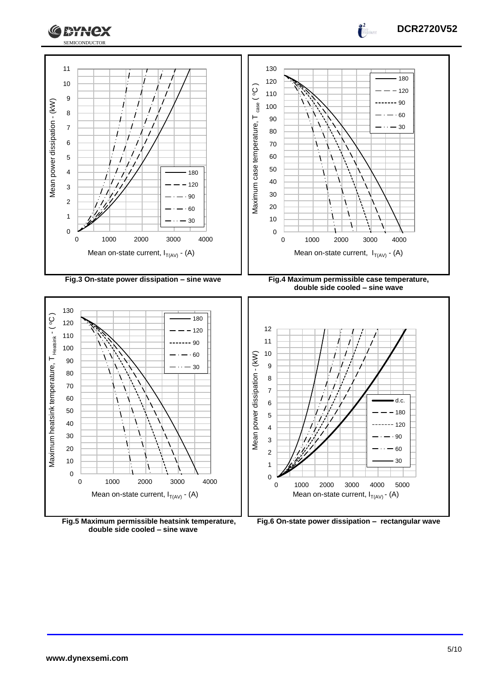





**Fig.5 Maximum permissible heatsink temperature, double side cooled – sine wave**



0 1000 2000 3000 4000 5000

Mean on-state current,  $I_{T(AV)}$  - (A)

 $.90$  

**www.dynexsemi.com**

**DCR2720V52**

 $\frac{1}{2}$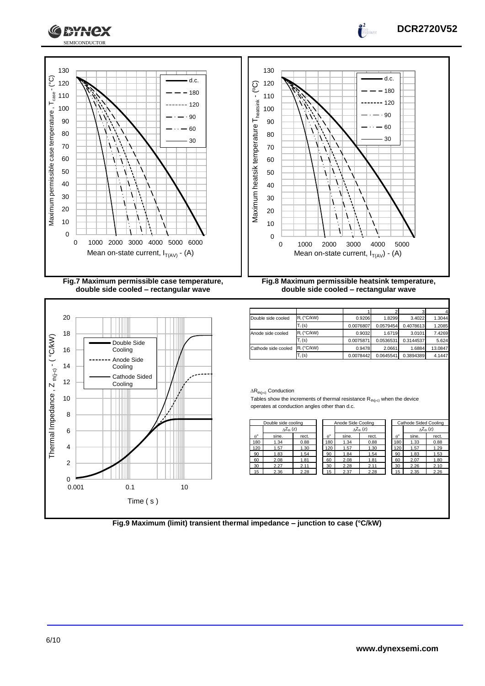



| rect. |                | $\Delta Z_{th}$ (z) |       |                            |       |       |
|-------|----------------|---------------------|-------|----------------------------|-------|-------|
|       |                |                     |       | $\Delta Z_{\text{th}}$ (z) |       |       |
|       | $\rho^{\circ}$ | sine.               | rect. | $\theta^{\circ}$           | sine. | rect. |
| 0.88  | 180            | 1.34                | 0.88  | 180                        | 1.33  | 0.88  |
| 1.30  | 120            | 1.57                | 1.30  | 120                        | 1.57  | 1.29  |
| 1.54  | 90             | 1.84                | 1.54  | 90                         | 1.83  | 1.53  |
| 1.81  | 60             | 2.08                | 1.81  | 60                         | 2.07  | 1.80  |
| 2.11  | 30             | 2.28                | 2.11  | 30                         | 2.26  | 2.10  |
| 2.28  | 15             | 2.37                | 2.28  | 15                         | 2.35  | 2.26  |
|       |                |                     |       |                            |       |       |

**DCR2720V52**

 $\frac{1}{2}$ 

**Fig.9 Maximum (limit) transient thermal impedance – junction to case (°C/kW)**

 $\Omega$ 2 4

0.001 0.1 10

Time ( s )

6

 $1*Y$ 

l ex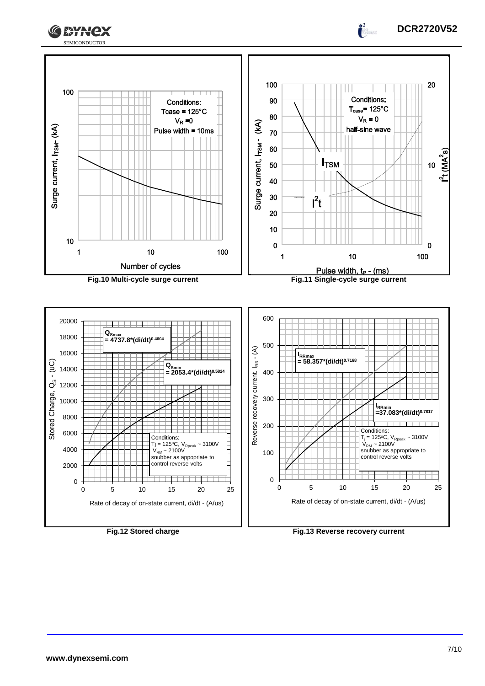



 $\frac{1}{2}$ 

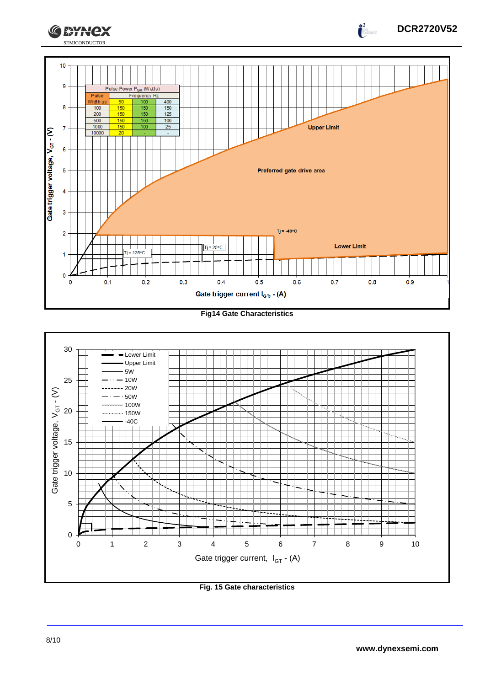

**Fig14 Gate Characteristics**



**Fig. 15 Gate characteristics**

**DCR2720V52**

 $\int_0^2$ 

**CEYNEX**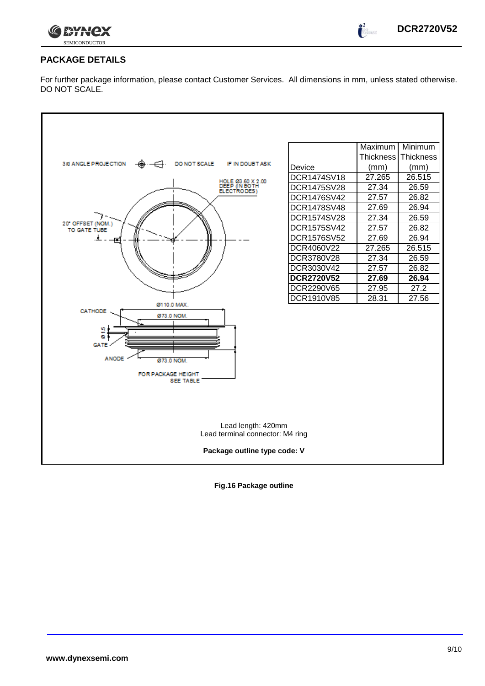

 $\int_0^2$ 

# **PACKAGE DETAILS**

For further package information, please contact Customer Services. All dimensions in mm, unless stated otherwise. DO NOT SCALE.



**Fig.16 Package outline**